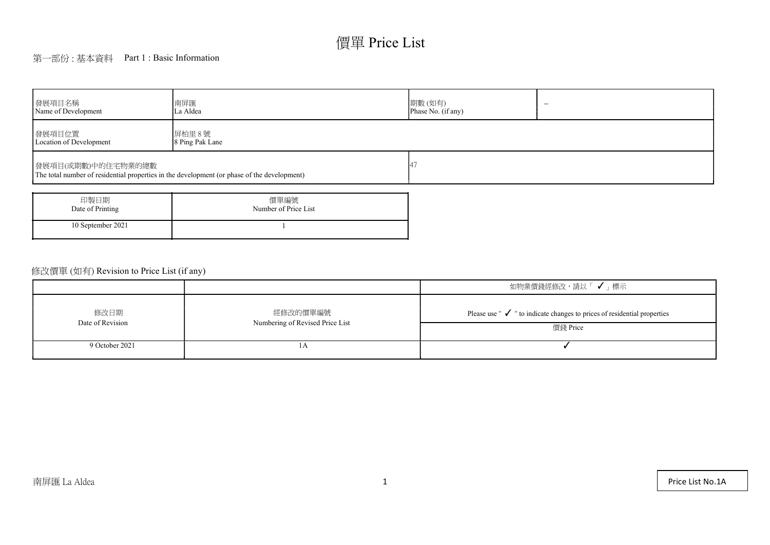# 價單 Price List

## 第一部份 : 基本資料 Part 1 : Basic Information

| 發展項目名稱<br>Name of Development                                                                                     | 南屏匯<br>La Aldea              | 期數(如有)<br>$\overline{\phantom{a}}$<br>Phase No. (if any) |  |  |  |  |  |
|-------------------------------------------------------------------------------------------------------------------|------------------------------|----------------------------------------------------------|--|--|--|--|--|
| 發展項目位置<br>Location of Development                                                                                 | 屏柏里 8號<br>8 Ping Pak Lane    |                                                          |  |  |  |  |  |
| 發展項目(或期數)中的住宅物業的總數<br>The total number of residential properties in the development (or phase of the development) |                              |                                                          |  |  |  |  |  |
| 印製日期<br>Date of Printing                                                                                          | 價單編號<br>Number of Price List |                                                          |  |  |  |  |  |

1

10 September 2021

|                          |                                             | 如物業價錢經修改,請以「 ✔ 」標示                                                                                                |
|--------------------------|---------------------------------------------|-------------------------------------------------------------------------------------------------------------------|
| 修改日期<br>Date of Revision | 經修改的價單編號<br>Numbering of Revised Price List | Please use $\mathbb {'}\blacktriangleright$ " to indicate changes to prices of residential properties<br>價錢 Price |
| 9 October 2021           | 1 TY                                        |                                                                                                                   |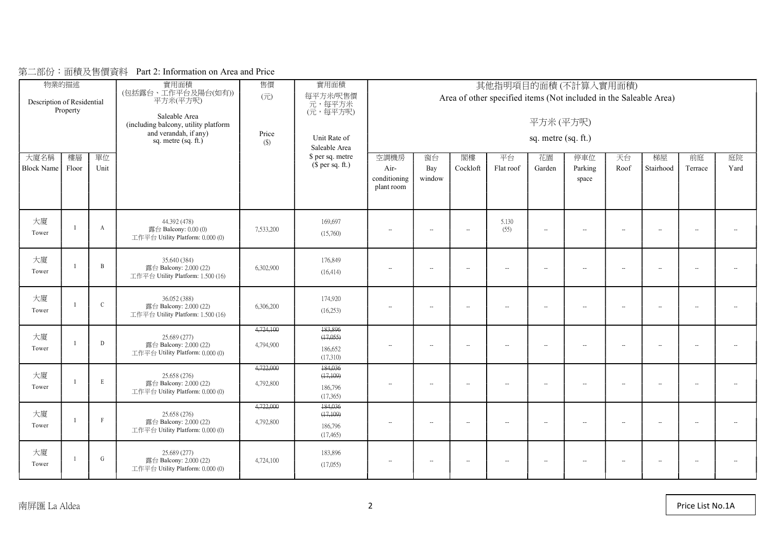| 大廈名稱        | 物業的描述<br>Description of Residential<br>Property<br>樓層<br>單位<br><b>Block Name</b><br>Unit<br>Floor |              | 實用面積<br>(包括露台、工作平台及陽台(如有))<br>平方米(平方呎)<br>Saleable Area<br>(including balcony, utility platform<br>and verandah, if any)<br>sq. metre $(sq. ft.)$ | 售價<br>$(\overrightarrow{\pi})$<br>Price<br>$(\$)$ | 實用面積<br>每平方米/呎售價<br>元,每平方米<br>(元,每平方呎)<br>Unit Rate of<br>Saleable Area<br>\$ per sq. metre<br>$$$ per sq. ft.) | 空調機房<br>Air-<br>conditioning<br>plant room | 其他指明項目的面積(不計算入實用面積)<br>Area of other specified items (Not included in the Saleable Area)<br>平方米(平方呎)<br>sq. metre (sq. ft.)<br>閣樓<br>庭院<br>窗台<br>平台<br>花園<br>停車位<br>天台<br>梯屋<br>前庭<br>Cockloft<br>Parking<br>Stairhood<br>Yard<br>Bay<br>Flat roof<br>Garden<br>Roof<br>Terrace<br>window<br>space |                          |                          |                          |                          |                          |                          |                          |                          |  |  |  |
|-------------|---------------------------------------------------------------------------------------------------|--------------|---------------------------------------------------------------------------------------------------------------------------------------------------|---------------------------------------------------|-----------------------------------------------------------------------------------------------------------------|--------------------------------------------|----------------------------------------------------------------------------------------------------------------------------------------------------------------------------------------------------------------------------------------------------------------------------------------------------|--------------------------|--------------------------|--------------------------|--------------------------|--------------------------|--------------------------|--------------------------|--------------------------|--|--|--|
| 大廈<br>Tower |                                                                                                   | $\mathbf{A}$ | 44.392 (478)<br>露台 Balcony: $0.00(0)$<br>工作平台 Utility Platform: 0.000 (0)                                                                         | 7,533,200                                         | 169,697<br>(15,760)                                                                                             | $\sim$                                     | $\sim$                                                                                                                                                                                                                                                                                             | $\sim$                   | 5.130<br>(55)            | $\overline{\phantom{a}}$ | $\overline{a}$           | $\sim$                   | $\sim$                   | $\overline{\phantom{a}}$ | $\overline{\phantom{a}}$ |  |  |  |
| 大廈<br>Tower |                                                                                                   | $\mathbf{B}$ | 35.640 (384)<br>露台 Balcony: 2.000 (22)<br>工作平台 Utility Platform: 1.500 (16)                                                                       | 6,302,900                                         | 176,849<br>(16, 414)                                                                                            | $\overline{\phantom{a}}$                   | $\overline{\phantom{a}}$                                                                                                                                                                                                                                                                           | $\overline{\phantom{a}}$ | $\overline{\phantom{a}}$ | $\sim$                   | $\overline{\phantom{a}}$ | $\overline{\phantom{a}}$ | $\overline{\phantom{a}}$ | $\overline{\phantom{a}}$ | $\mathbf{L}$             |  |  |  |
| 大廈<br>Tower |                                                                                                   | $\mathbf C$  | 36.052 (388)<br>露台 Balcony: 2.000 (22)<br>工作平台 Utility Platform: 1.500 (16)                                                                       | 6,306,200                                         | 174,920<br>(16,253)                                                                                             | $\sim$                                     | $\overline{\phantom{a}}$                                                                                                                                                                                                                                                                           | $\sim$                   | $\overline{\phantom{a}}$ | $\overline{\phantom{a}}$ | $\overline{\phantom{a}}$ | $\overline{\phantom{a}}$ | $\overline{\phantom{a}}$ | $\overline{\phantom{a}}$ | $\overline{\phantom{a}}$ |  |  |  |
| 大廈<br>Tower |                                                                                                   | D            | 25.689 (277)<br>露台 Balcony: 2.000 (22)<br>工作平台 Utility Platform: 0.000 (0)                                                                        | 4,724,100<br>4,794,900                            | 183,896<br>(17,055)<br>186,652<br>(17,310)                                                                      | $\sim$                                     | $\sim$                                                                                                                                                                                                                                                                                             | $\sim$                   | $\overline{\phantom{a}}$ | $\sim$                   | $\sim$                   | $\sim$                   | $\sim$                   | $\sim$                   | $\mathbf{L}$             |  |  |  |
| 大廈<br>Tower |                                                                                                   | $\,$ E       | 25.658 (276)<br>露台 Balcony: 2,000 (22)<br>工作平台 Utility Platform: 0.000 (0)                                                                        | 4,722,000<br>4,792,800                            | 184,036<br>(17,109)<br>186,796<br>(17,365)                                                                      | $\overline{\phantom{a}}$                   | $\overline{\phantom{a}}$                                                                                                                                                                                                                                                                           | $\sim$                   | $\overline{\phantom{a}}$ | $\sim$                   | $\overline{a}$           | $\overline{\phantom{a}}$ | $\overline{\phantom{a}}$ | $\overline{\phantom{a}}$ | $\overline{\phantom{a}}$ |  |  |  |
| 大廈<br>Tower |                                                                                                   | $\mathbf{F}$ | 25.658 (276)<br>露台 Balcony: 2.000 (22)<br>工作平台 Utility Platform: 0.000 (0)                                                                        | 4,722,000<br>4,792,800                            | 184,036<br>(17,109)<br>186,796<br>(17, 465)                                                                     | $\overline{\phantom{a}}$                   | $\sim$                                                                                                                                                                                                                                                                                             | $\overline{\phantom{a}}$ | $\overline{\phantom{a}}$ |                          | $-$                      | $\sim$                   | $\overline{\phantom{a}}$ | $\sim$                   | $\overline{\phantom{a}}$ |  |  |  |
| 大廈<br>Tower |                                                                                                   | G            | 25.689 (277)<br>露台 Balcony: 2.000 (22)<br>工作平台 Utility Platform: 0.000 (0)                                                                        | 4,724,100                                         | 183,896<br>(17,055)                                                                                             | $\overline{\phantom{a}}$                   | $\overline{\phantom{a}}$                                                                                                                                                                                                                                                                           | $\sim$                   | $\overline{\phantom{a}}$ | $\overline{\phantom{a}}$ | $\overline{a}$           | $\overline{\phantom{a}}$ | $\overline{\phantom{a}}$ | $\overline{\phantom{a}}$ | $\overline{\phantom{a}}$ |  |  |  |

## 第二部份:面積及售價資料 Part 2: Information on Area and Price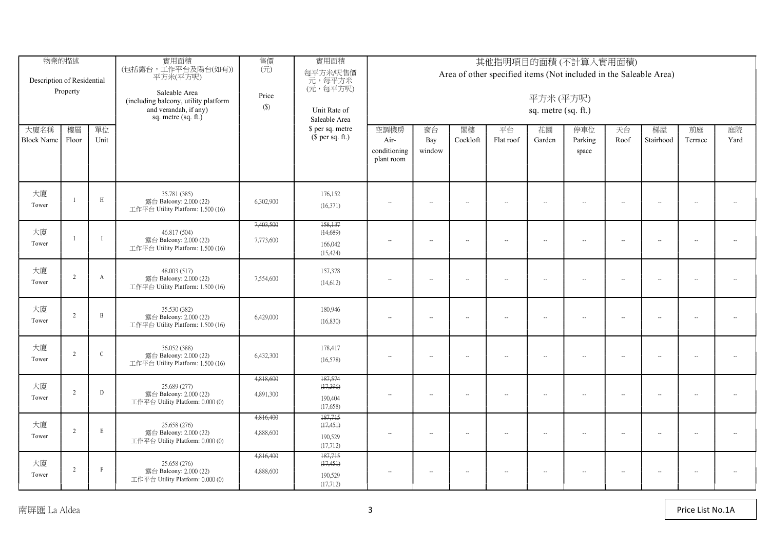| 物業的描述<br>Description of Residential<br>Property |                |              | 實用面積<br>(包括露台,工作平台及陽台(如有))<br>平方米(平方呎)<br>Saleable Area<br>(including balcony, utility platform<br>and verandah, if any)<br>sq. metre $(sq. ft.)$ | 售價<br>$(\vec{\pi})$<br>Price<br>$(\$)$ | 實用面積<br>每平方米/呎售價<br>元,每平方米<br>(元,每平方呎)<br>Unit Rate of<br>Saleable Area | 其他指明項目的面積(不計算入實用面積)<br>Area of other specified items (Not included in the Saleable Area)<br>平方米(平方呎)<br>sq. metre (sq. ft.) |                          |                          |                          |                      |                         |                      |                          |                          |                          |  |  |  |
|-------------------------------------------------|----------------|--------------|---------------------------------------------------------------------------------------------------------------------------------------------------|----------------------------------------|-------------------------------------------------------------------------|-----------------------------------------------------------------------------------------------------------------------------|--------------------------|--------------------------|--------------------------|----------------------|-------------------------|----------------------|--------------------------|--------------------------|--------------------------|--|--|--|
| 大廈名稱<br><b>Block Name</b>                       | 樓層<br>Floor    | 單位<br>Unit   |                                                                                                                                                   |                                        | \$ per sq. metre<br>$$$ per sq. ft.)                                    | 空調機房<br>Air-<br>conditioning<br>plant room                                                                                  | 窗台<br>Bay<br>window      | 閣樓<br>Cockloft           | 平台<br>Flat roof          | 花園<br>Garden         | 停車位<br>Parking<br>space | 天台<br>Roof           | 梯屋<br>Stairhood          | 前庭<br>Terrace            | 庭院<br>Yard               |  |  |  |
| 大廈<br>Tower                                     |                | H            | 35.781 (385)<br>露台 Balcony: 2.000 (22)<br>工作平台 Utility Platform: 1.500 (16)                                                                       | 6,302,900                              | 176,152<br>(16,371)                                                     | $\overline{\phantom{a}}$                                                                                                    | $\sim$                   | $\sim$                   | $\sim$                   | $\sim$               | $\sim$                  | $\sim$               | $\sim$                   | $\sim$                   | $\sim$                   |  |  |  |
| 大廈<br>Tower                                     |                | $\mathbf{I}$ | 46.817 (504)<br>露台 Balcony: 2.000 (22)<br>工作平台 Utility Platform: 1.500 (16)                                                                       | 7,403,500<br>7,773,600                 | 158,137<br>(14, 689)<br>166,042<br>(15, 424)                            |                                                                                                                             | $\overline{\phantom{a}}$ | $\overline{\phantom{a}}$ | $\overline{\phantom{a}}$ | $\ddot{\phantom{a}}$ | $\sim$                  | ÷.                   | $\sim$                   | $\sim$                   | $\overline{\phantom{a}}$ |  |  |  |
| 大廈<br>Tower                                     | $\overline{2}$ | $\mathbf{A}$ | 48.003 (517)<br>露台 Balcony: 2.000 (22)<br>工作平台 Utility Platform: 1.500 (16)                                                                       | 7,554,600                              | 157,378<br>(14,612)                                                     | $\overline{\phantom{a}}$                                                                                                    | $\sim$                   | $\overline{\phantom{a}}$ | $\overline{\phantom{a}}$ | $\ddot{\phantom{a}}$ | $\sim$                  | $\ddot{\phantom{a}}$ | $\overline{\phantom{a}}$ | $\ddot{\phantom{a}}$     | $\ddotsc$                |  |  |  |
| 大廈<br>Tower                                     | $\overline{2}$ | $\mathbf{B}$ | 35.530 (382)<br>露台 Balcony: 2.000 (22)<br>工作平台 Utility Platform: 1.500 (16)                                                                       | 6,429,000                              | 180,946<br>(16,830)                                                     | $\overline{\phantom{a}}$                                                                                                    | $\overline{\phantom{a}}$ | $\sim$                   | $\sim$                   | $\sim$               | $\sim$                  | $\sim$               | $\sim$                   | $\overline{\phantom{a}}$ | $\sim$                   |  |  |  |
| 大廈<br>Tower                                     | 2              | $\,$ C       | 36.052 (388)<br>露台 Balcony: 2.000 (22)<br>工作平台 Utility Platform: 1.500 (16)                                                                       | 6,432,300                              | 178,417<br>(16,578)                                                     | $\overline{\phantom{a}}$                                                                                                    | $\overline{\phantom{a}}$ | $\overline{\phantom{a}}$ | $\overline{\phantom{a}}$ | $\sim$               | $\sim$                  | $\sim$               | $\overline{\phantom{a}}$ | $\sim$                   | $\overline{\phantom{a}}$ |  |  |  |
| 大廈<br>Tower                                     | 2              | D            | 25.689 (277)<br>露台 Balcony: 2.000 (22)<br>工作平台 Utility Platform: 0.000 (0)                                                                        | 4,818,600<br>4,891,300                 | 187,574<br>(17,396)<br>190,404<br>(17,658)                              | $\overline{\phantom{a}}$                                                                                                    | $\overline{\phantom{a}}$ | $\sim$                   | $\sim$                   | $\sim$               | $\sim$                  | $\sim$               | $\sim$                   | $\sim$                   | $\overline{\phantom{a}}$ |  |  |  |
| 大廈<br>Tower                                     | 2              | $\,$ E       | 25,658 (276)<br>露台 Balcony: 2.000 (22)<br>工作平台 Utility Platform: 0.000 (0)                                                                        | 4,816,400<br>4,888,600                 | 187,715<br>(17, 451)<br>190,529<br>(17,712)                             | $\overline{\phantom{a}}$                                                                                                    | $\overline{\phantom{a}}$ | $\overline{\phantom{a}}$ | $\sim$                   | $\ddot{\phantom{a}}$ | $\sim$                  | $\sim$               | $\overline{\phantom{a}}$ | $\overline{\phantom{a}}$ | $\overline{\phantom{a}}$ |  |  |  |
| 大廈<br>Tower                                     | $\mathcal{L}$  | $\,$ F       | 25.658 (276)<br>露台 Balcony: 2.000 (22)<br>工作平台 Utility Platform: 0.000 (0)                                                                        | 4,816,400<br>4,888,600                 | 187,715<br>(17, 451)<br>190,529<br>(17,712)                             | $\overline{\phantom{a}}$                                                                                                    | $\overline{\phantom{a}}$ | $\overline{\phantom{a}}$ | $\overline{\phantom{a}}$ | $\ddot{\phantom{a}}$ | $\sim$                  | $\sim$               | $\overline{\phantom{a}}$ | $\overline{\phantom{a}}$ | $\overline{\phantom{a}}$ |  |  |  |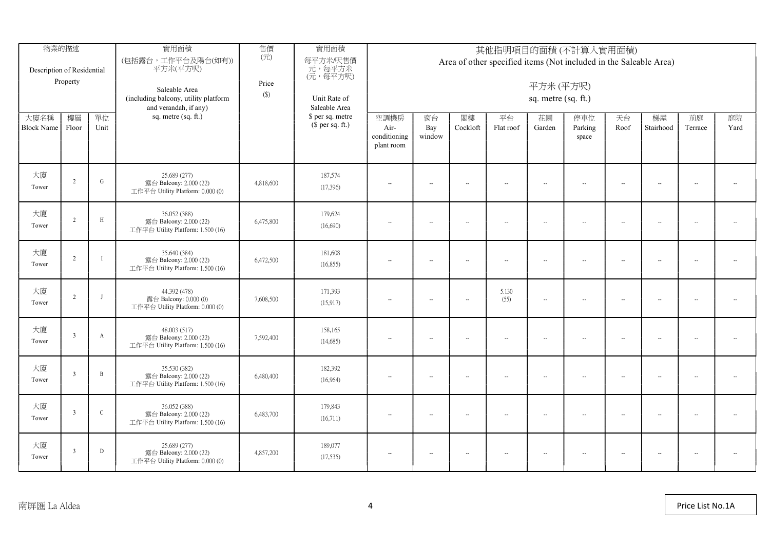| 物業的描述<br>Description of Residential<br>Property |                         |                | 實用面積<br>(包括露台,工作平台及陽台(如有))<br>平方米(平方呎)<br>Saleable Area<br>(including balcony, utility platform<br>and verandah, if any) | 售價<br>$(\overrightarrow{\pi})$<br>Price<br>$(\$)$ | 實用面積<br>每平方米/呎售價<br>元,每平方米<br>(元,每平方呎)<br>Unit Rate of<br>Saleable Area | 其他指明項目的面積(不計算入實用面積)<br>Area of other specified items (Not included in the Saleable Area)<br>平方米(平方呎)<br>sq. metre (sq. ft.) |                          |                          |                 |                          |                          |                      |                          |                          |                          |  |  |  |
|-------------------------------------------------|-------------------------|----------------|--------------------------------------------------------------------------------------------------------------------------|---------------------------------------------------|-------------------------------------------------------------------------|-----------------------------------------------------------------------------------------------------------------------------|--------------------------|--------------------------|-----------------|--------------------------|--------------------------|----------------------|--------------------------|--------------------------|--------------------------|--|--|--|
| 大廈名稱<br><b>Block Name</b>                       | 樓層<br>Floor             | 單位<br>Unit     | sq. metre (sq. ft.)                                                                                                      |                                                   | \$ per sq. metre<br>$$$ per sq. ft.)                                    | 空調機房<br>Air-<br>conditioning<br>plant room                                                                                  | 窗台<br>Bay<br>window      | 閣樓<br>Cockloft           | 平台<br>Flat roof | 花園<br>Garden             | 停車位<br>Parking<br>space  | 天台<br>Roof           | 梯屋<br>Stairhood          | 前庭<br>Terrace            | 庭院<br>Yard               |  |  |  |
| 大廈<br>Tower                                     | $\gamma$                | ${\rm G}$      | 25.689 (277)<br>露台 Balcony: 2.000 (22)<br>工作平台 Utility Platform: 0.000 (0)                                               | 4,818,600                                         | 187,574<br>(17,396)                                                     | $\sim$                                                                                                                      | $\overline{\phantom{a}}$ | $\sim$                   | $\sim$          | $\overline{\phantom{a}}$ | $\sim$                   | $\overline{a}$       | $\sim$                   | $\overline{\phantom{a}}$ | $\overline{\phantom{a}}$ |  |  |  |
| 大廈<br>Tower                                     | $\overline{2}$          | H              | 36.052 (388)<br>露台 Balcony: 2.000 (22)<br>工作平台 Utility Platform: 1.500 (16)                                              | 6,475,800                                         | 179,624<br>(16,690)                                                     | $\overline{\phantom{a}}$                                                                                                    | $\overline{\phantom{a}}$ | $\overline{\phantom{a}}$ | $\sim$          | $\sim$                   | $\sim$                   | $\sim$               | $\overline{\phantom{a}}$ | $\overline{\phantom{a}}$ | $\overline{\phantom{a}}$ |  |  |  |
| 大廈<br>Tower                                     | $\overline{2}$          | $\mathbf{I}$   | 35,640 (384)<br>露台 Balcony: 2.000 (22)<br>工作平台 Utility Platform: 1.500 (16)                                              | 6,472,500                                         | 181,608<br>(16, 855)                                                    | $\sim$                                                                                                                      | $\sim$                   | $\sim$                   | $\sim$          | $\sim$                   | $\sim$                   | $\sim$               | $\overline{\phantom{a}}$ | $\overline{\phantom{a}}$ | $\overline{\phantom{a}}$ |  |  |  |
| 大廈<br>Tower                                     | $\overline{2}$          | $\mathbf{I}$   | 44.392 (478)<br>露台 Balcony: 0.000 (0)<br>工作平台 Utility Platform: 0.000 (0)                                                | 7,608,500                                         | 171,393<br>(15,917)                                                     | $\overline{\phantom{a}}$                                                                                                    | $\sim$                   | $\overline{\phantom{a}}$ | 5.130<br>(55)   | $\overline{\phantom{a}}$ | $\overline{\phantom{a}}$ | $\ddot{\phantom{a}}$ | $\overline{\phantom{a}}$ | $\overline{\phantom{a}}$ | $\overline{\phantom{a}}$ |  |  |  |
| 大廈<br>Tower                                     | $\overline{\mathbf{3}}$ | $\mathbf{A}$   | 48.003 (517)<br>露台 Balcony: 2.000 (22)<br>工作平台 Utility Platform: 1.500 (16)                                              | 7,592,400                                         | 158,165<br>(14,685)                                                     | $\overline{\phantom{a}}$                                                                                                    | $\sim$                   | $\overline{\phantom{a}}$ | $\sim$          | $\sim$                   | $\sim$                   | $\ddot{\phantom{a}}$ | $\overline{\phantom{a}}$ | $\overline{\phantom{a}}$ | $\overline{\phantom{a}}$ |  |  |  |
| 大廈<br>Tower                                     | $\overline{3}$          | $\overline{B}$ | 35.530 (382)<br>露台 Balcony: 2.000 (22)<br>工作平台 Utility Platform: 1.500 (16)                                              | 6,480,400                                         | 182,392<br>(16,964)                                                     | $\sim$                                                                                                                      | $\overline{\phantom{a}}$ | $\sim$                   | $\sim$          | $\sim$                   | $-$                      | $\sim$               | $\sim$                   | $\overline{\phantom{a}}$ | $\sim$                   |  |  |  |
| 大廈<br>Tower                                     | $\mathcal{R}$           | $\mathsf C$    | 36.052 (388)<br>露台 Balcony: 2.000 (22)<br>工作平台 Utility Platform: 1.500 (16)                                              | 6,483,700                                         | 179,843<br>(16,711)                                                     | $\overline{\phantom{a}}$                                                                                                    | $\sim$                   | $\overline{\phantom{a}}$ | $\sim$          | $\sim$                   | $\sim$                   | $\ddot{\phantom{a}}$ | $\overline{\phantom{a}}$ | $\overline{\phantom{a}}$ | $\overline{\phantom{a}}$ |  |  |  |
| 大廈<br>Tower                                     |                         | D              | 25.689 (277)<br>露台 Balcony: 2.000 (22)<br>工作平台 Utility Platform: 0.000 (0)                                               | 4,857,200                                         | 189,077<br>(17,535)                                                     | $\overline{\phantom{a}}$                                                                                                    | $\overline{\phantom{a}}$ | $\overline{\phantom{a}}$ | $\sim$          | $\sim$                   | $\sim$                   | $\sim$               | $\overline{\phantom{a}}$ | $\overline{\phantom{a}}$ | $\overline{\phantom{a}}$ |  |  |  |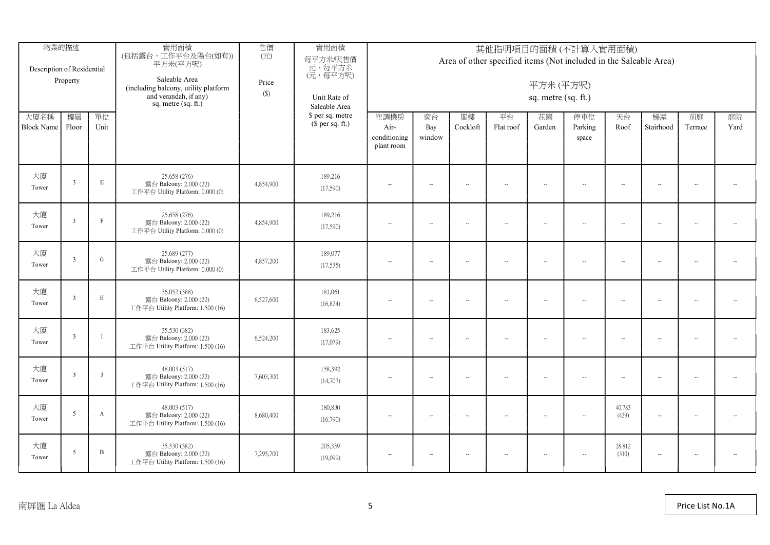| Description of Residential | 物業的描述<br>Property        |                  | 實用面積<br>(包括露台,工作平台及陽台(如有))<br>平方米(平方呎)<br>Saleable Area<br>(including balcony, utility platform<br>and verandah, if any)<br>sq. metre $(sq. ft.)$ | 售價<br>$(\overrightarrow{\pi})$<br>Price<br>$(\$)$ | 實用面積<br>每平方米/呎售價<br>元,每平方米<br>(元,每平方呎)<br>Unit Rate of<br>Saleable Area | 其他指明項目的面積(不計算入實用面積)<br>Area of other specified items (Not included in the Saleable Area)<br>平方米(平方呎)<br>sq. metre (sq. ft.) |                          |                          |                             |                          |                         |                 |                          |                          |                          |  |  |  |
|----------------------------|--------------------------|------------------|---------------------------------------------------------------------------------------------------------------------------------------------------|---------------------------------------------------|-------------------------------------------------------------------------|-----------------------------------------------------------------------------------------------------------------------------|--------------------------|--------------------------|-----------------------------|--------------------------|-------------------------|-----------------|--------------------------|--------------------------|--------------------------|--|--|--|
| 大廈名稱<br>Block Name Floor   | 樓層                       | 單位<br>Unit       |                                                                                                                                                   |                                                   | \$ per sq. metre<br>$$$ per sq. ft.)                                    | 空調機房<br>Air-<br>conditioning<br>plant room                                                                                  | 窗台<br>Bay<br>window      | 閣樓<br>Cockloft           | 平台<br>Flat roof             | 花園<br>Garden             | 停車位<br>Parking<br>space | 天台<br>Roof      | 梯屋<br>Stairhood          | 前庭<br>Terrace            | 庭院<br>Yard               |  |  |  |
| 大廈<br>Tower                | $\overline{3}$           | $\mathbf E$      | 25.658 (276)<br>露台 Balcony: 2.000 (22)<br>工作平台 Utility Platform: 0.000 (0)                                                                        | 4,854,900                                         | 189,216<br>(17,590)                                                     | $\sim$                                                                                                                      | $-$                      | $\sim$                   | $\sim$                      | $\sim$                   | $\sim$                  | $\sim$          |                          | $\overline{\phantom{a}}$ | $\sim$                   |  |  |  |
| 大廈<br>Tower                | $\overline{3}$           | $\Gamma$         | 25.658 (276)<br>露台 Balcony: 2.000 (22)<br>工作平台 Utility Platform: 0.000 (0)                                                                        | 4,854,900                                         | 189,216<br>(17,590)                                                     | $\sim$                                                                                                                      | $\overline{\phantom{a}}$ | $\sim$                   | $\mathcal{L}_{\mathcal{F}}$ | $\sim$                   | $\sim$                  | $\sim$          | $\sim$                   | $\overline{\phantom{a}}$ | $\overline{\phantom{a}}$ |  |  |  |
| 大廈<br>Tower                | $\overline{\mathbf{3}}$  | ${\bf G}$        | 25.689 (277)<br>露台 Balcony: 2.000 (22)<br>工作平台 Utility Platform: 0.000 (0)                                                                        | 4,857,200                                         | 189,077<br>(17,535)                                                     | $\overline{\phantom{a}}$                                                                                                    | $\sim$                   | $\overline{\phantom{a}}$ | $\sim$                      | $\overline{\phantom{a}}$ | $\sim$                  | $\sim$          | $\overline{\phantom{a}}$ | $\overline{\phantom{a}}$ | $\overline{\phantom{a}}$ |  |  |  |
| 大廈<br>Tower                | 3                        | $\,$ H           | 36.052 (388)<br>露台 Balcony: 2.000 (22)<br>工作平台 Utility Platform: 1.500 (16)                                                                       | 6,527,600                                         | 181,061<br>(16,824)                                                     | $\overline{\phantom{a}}$                                                                                                    | $\overline{\phantom{a}}$ | $\overline{\phantom{a}}$ | $\sim$                      | $\sim$                   | $\sim$                  | $\sim$          | $\overline{\phantom{a}}$ | $\overline{\phantom{a}}$ | $\overline{\phantom{a}}$ |  |  |  |
| 大廈<br>Tower                | $\overline{3}$           | $\mathbf{I}$     | 35.530 (382)<br>露台 Balcony: 2.000 (22)<br>工作平台 Utility Platform: 1.500 (16)                                                                       | 6,524,200                                         | 183,625<br>(17,079)                                                     | $\overline{\phantom{a}}$                                                                                                    | $\sim$                   | $\sim$                   | $\sim$                      | $\sim$                   | $\sim$                  | $\ddotsc$       | $\overline{\phantom{a}}$ | $\overline{\phantom{a}}$ | $\overline{\phantom{a}}$ |  |  |  |
| 大廈<br>Tower                | $\overline{3}$           | $\mathbf{J}$     | 48,003 (517)<br>露台 Balcony: 2.000 (22)<br>工作平台 Utility Platform: 1.500 (16)                                                                       | 7,603,300                                         | 158,392<br>(14,707)                                                     | $\overline{\phantom{a}}$                                                                                                    | $\overline{\phantom{a}}$ | $\sim$                   | $\sim$                      | $\ddot{\phantom{a}}$     | $\sim$                  | $\sim$          | $\sim$                   | $\overline{\phantom{a}}$ | $\overline{\phantom{a}}$ |  |  |  |
| 大廈<br>Tower                | -5                       | $\boldsymbol{A}$ | 48,003 (517)<br>露台 Balcony: 2.000 (22)<br>工作平台 Utility Platform: 1.500 (16)                                                                       | 8,680,400                                         | 180,830<br>(16,790)                                                     | $\sim$                                                                                                                      | $\overline{\phantom{a}}$ | $\overline{\phantom{a}}$ | $-$                         | $\sim$                   | $-$                     | 40.783<br>(439) | $\overline{\phantom{a}}$ | $\overline{\phantom{a}}$ | $\sim$                   |  |  |  |
| 大廈<br>Tower                | $\overline{\phantom{a}}$ | $\mathbf B$      | 35.530 (382)<br>露台 Balcony: 2.000 (22)<br>工作平台 Utility Platform: 1.500 (16)                                                                       | 7,295,700                                         | 205,339<br>(19,099)                                                     | $\overline{\phantom{a}}$                                                                                                    | $\overline{\phantom{a}}$ | $\overline{\phantom{a}}$ | $\sim$                      | $\ddot{\phantom{a}}$     | $\sim$                  | 28.812<br>(310) | $\sim$                   | $\overline{\phantom{a}}$ | $\overline{\phantom{a}}$ |  |  |  |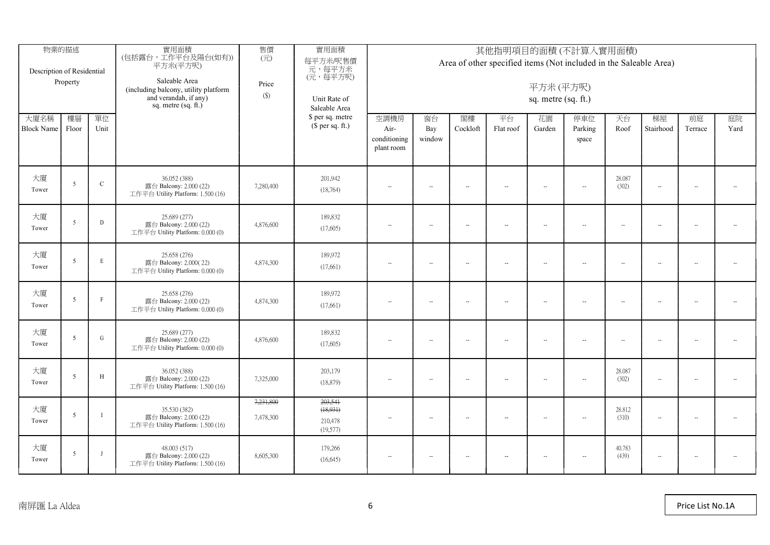| 物業的描述<br>Description of Residential<br>Property |                          |              | 實用面積<br>(包括露台,工作平台及陽台(如有))<br>平方米(平方呎)<br>Saleable Area<br>(including balcony, utility platform<br>and verandah, if any)<br>sq. metre $(sq, ft.)$ | 售價<br>$(\vec{\pi})$<br>Price<br>$(\$)$ | 實用面積<br>每平方米/呎售價<br>元,每平方米<br>(元,每平方呎)<br>Unit Rate of<br>Saleable Area | 其他指明項目的面積(不計算入實用面積)<br>Area of other specified items (Not included in the Saleable Area)<br>平方米(平方呎)<br>sq. metre (sq. ft.) |                          |                          |                 |                     |                         |                          |                          |                          |                          |  |  |  |
|-------------------------------------------------|--------------------------|--------------|---------------------------------------------------------------------------------------------------------------------------------------------------|----------------------------------------|-------------------------------------------------------------------------|-----------------------------------------------------------------------------------------------------------------------------|--------------------------|--------------------------|-----------------|---------------------|-------------------------|--------------------------|--------------------------|--------------------------|--------------------------|--|--|--|
| 大廈名稱<br>Block Name Floor                        | 樓層                       | 單位<br>Unit   |                                                                                                                                                   |                                        | \$ per sq. metre<br>$$$ per sq. ft.)                                    | 空調機房<br>Air-<br>conditioning<br>plant room                                                                                  | 窗台<br>Bay<br>window      | 閣樓<br>Cockloft           | 平台<br>Flat roof | 花園<br>Garden        | 停車位<br>Parking<br>space | 天台<br>Roof               | 梯屋<br>Stairhood          | 前庭<br>Terrace            | 庭院<br>Yard               |  |  |  |
| 大廈<br>Tower                                     | $\overline{\phantom{a}}$ | $\mathbf C$  | 36.052 (388)<br>露台 Balcony: 2.000 (22)<br>工作平台 Utility Platform: 1.500 (16)                                                                       | 7,280,400                              | 201,942<br>(18,764)                                                     | $\overline{\phantom{a}}$                                                                                                    | $\overline{\phantom{a}}$ | $\sim$                   | $\sim$          | $\sim$              | $\sim$ $\sim$           | 28.087<br>(302)          | $\sim$                   | $\overline{\phantom{a}}$ | $\overline{\phantom{a}}$ |  |  |  |
| 大廈<br>Tower                                     | $\overline{\phantom{a}}$ | D            | 25,689 (277)<br>露台 Balcony: 2.000 (22)<br>工作平台 Utility Platform: 0.000 (0)                                                                        | 4,876,600                              | 189,832<br>(17,605)                                                     | $\overline{\phantom{a}}$                                                                                                    | $\overline{\phantom{a}}$ | $\overline{\phantom{a}}$ | $\sim$          | $\sim$              | $\sim$                  | $\sim$                   | $\overline{\phantom{a}}$ | $\sim$                   | $\overline{\phantom{a}}$ |  |  |  |
| 大廈<br>Tower                                     | 5                        | E            | 25.658 (276)<br>露台 Balcony: 2.000(22)<br>工作平台 Utility Platform: 0.000 (0)                                                                         | 4,874,300                              | 189,972<br>(17,661)                                                     | $\overline{\phantom{a}}$                                                                                                    | $\sim$                   | $\overline{\phantom{a}}$ | $\sim$          | $\bar{\phantom{a}}$ | $\sim$                  | $\sim$                   | $\sim$                   | $\sim$                   | $\overline{\phantom{a}}$ |  |  |  |
| 大廈<br>Tower                                     | $\sim$                   | $\mathbf{F}$ | 25.658 (276)<br>露台 Balcony: 2.000 (22)<br>工作平台 Utility Platform: 0.000 (0)                                                                        | 4,874,300                              | 189,972<br>(17,661)                                                     | $\overline{\phantom{a}}$                                                                                                    | $\overline{\phantom{a}}$ | $\sim$                   | $\sim$          | $\sim$              | $\sim$                  | $\overline{\phantom{a}}$ | $\sim$                   | $\sim$                   | $\sim$                   |  |  |  |
| 大廈<br>Tower                                     | -5                       | ${\bf G}$    | 25.689 (277)<br>露台 Balcony: 2.000 (22)<br>工作平台 Utility Platform: 0.000 (0)                                                                        | 4,876,600                              | 189,832<br>(17,605)                                                     | $\overline{\phantom{a}}$                                                                                                    | $\overline{\phantom{a}}$ | $\sim$                   | $\sim$          | $\sim$              | $\sim$                  | $\sim$                   | $\overline{\phantom{a}}$ | $\sim$                   | $\sim$                   |  |  |  |
| 大廈<br>Tower                                     | 5                        | $\,$ H       | 36.052 (388)<br>露台 Balcony: 2.000 (22)<br>工作平台 Utility Platform: 1.500 (16)                                                                       | 7,325,000                              | 203,179<br>(18, 879)                                                    | $\overline{\phantom{a}}$                                                                                                    | $\overline{\phantom{a}}$ | $\sim$                   | $\sim$          | $\bar{\phantom{a}}$ | $\sim$                  | 28.087<br>(302)          | $\overline{\phantom{a}}$ | $\overline{\phantom{a}}$ | $\sim$                   |  |  |  |
| 大廈<br>Tower                                     | $\overline{5}$           | $\mathbf I$  | 35.530 (382)<br>露台 Balcony: 2.000 (22)<br>工作平台 Utility Platform: 1.500 (16)                                                                       | 7,231,800<br>7,478,300                 | 203,541<br>(18, 931)<br>210,478<br>(19,577)                             | $\sim$                                                                                                                      | $\overline{\phantom{a}}$ | $\sim$                   | $\sim$          | $\sim$              | $\sim$                  | 28.812<br>(310)          | $\sim$                   | $\overline{\phantom{a}}$ | $\overline{\phantom{a}}$ |  |  |  |
| 大廈<br>Tower                                     | $\overline{\phantom{a}}$ | $\mathbf{I}$ | 48.003 (517)<br>露台 Balcony: 2.000 (22)<br>工作平台 Utility Platform: 1.500 (16)                                                                       | 8,605,300                              | 179,266<br>(16,645)                                                     | $\sim$                                                                                                                      | $\sim$                   | $\overline{\phantom{a}}$ | $\sim$          | $\sim$              | $\sim$                  | 40.783<br>(439)          | $\overline{\phantom{a}}$ | $\overline{\phantom{a}}$ | $\overline{\phantom{a}}$ |  |  |  |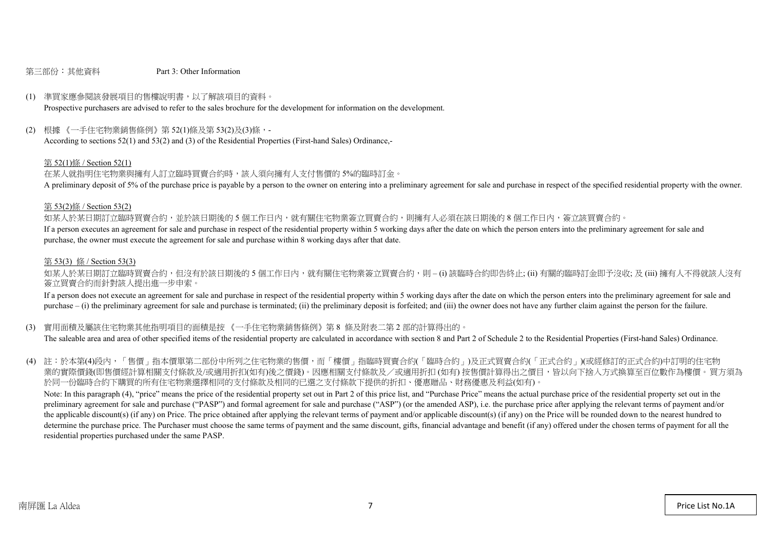#### 第三部份:其他資料 Part 3: Other Information

#### (1) 準買家應參閱該發展項目的售樓說明書,以了解該項目的資料。

Prospective purchasers are advised to refer to the sales brochure for the development for information on the development.

#### (2) 根據 《一手住宅物業銷售條例》第 52(1)條及第 53(2)及(3)條,-

According to sections 52(1) and 53(2) and (3) of the Residential Properties (First-hand Sales) Ordinance,-

#### 第 52(1)條 / Section 52(1)

在某人就指明住宅物業與擁有人訂立臨時買賣合約時,該人須向擁有人支付售價的 5%的臨時訂金。

A preliminary deposit of 5% of the purchase price is payable by a person to the owner on entering into a preliminary agreement for sale and purchase in respect of the specified residential property with the owner.

#### 第 53(2)條 / Section 53(2)

如某人於某日期訂立臨時買賣合約,並於該日期後的5個工作日內,就有關住宅物業簽立買賣合約,則擁有人必須在該日期後的8個工作日內,簽立該買賣合約。 If a person executes an agreement for sale and purchase in respect of the residential property within 5 working days after the date on which the person enters into the preliminary agreement for sale and purchase, the owner must execute the agreement for sale and purchase within 8 working days after that date.

#### 第 53(3) 條 / Section 53(3)

如某人於某日期訂立臨時買賣合約,但沒有於該日期後的 5 個工作日內,就有關住宅物業簽立買賣合約,則 – (i) 該臨時合約即告終止; (ii) 有關的臨時訂金即予沒收; 及 (iii) 擁有人不得就該人沒有 簽立買賣合約而針對該人提出進一步申索。

If a person does not execute an agreement for sale and purchase in respect of the residential property within 5 working days after the date on which the person enters into the preliminary agreement for sale and purchase – (i) the preliminary agreement for sale and purchase is terminated; (ii) the preliminary deposit is forfeited; and (iii) the owner does not have any further claim against the person for the failure.

#### (3) 實用面積及屬該住宅物業其他指明項目的面積是按 《一手住宅物業銷售條例》第 8 條及附表二第 2 部的計算得出的。

The saleable area and area of other specified items of the residential property are calculated in accordance with section 8 and Part 2 of Schedule 2 to the Residential Properties (First-hand Sales) Ordinance.

(4) 註:於本第(4)段內,「售價」指本價單第二部份中所列之住宅物業的售價,而「樓價」指臨時買賣合約(「臨時合約」)及正式買賣合約(「正式合約」)(或經修訂的正式合約)中訂明的住宅物 業的實際價錢(即售價經計算相關支付條款及/或適用折扣(如有)後之價錢)。因應相關支付條款及/或適用折扣 (如有) 按售價計算得出之價目,皆以向下捨入方式換算至百位數作為樓價。買方須為 於同一份臨時合約下購買的所有住宅物業選擇相同的支付條款及相同的已選之支付條款下提供的折扣、優惠贈品、財務優惠及利益(如有)。

Note: In this paragraph (4), "price" means the price of the residential property set out in Part 2 of this price list, and "Purchase Price" means the actual purchase price of the residential property set out in the preliminary agreement for sale and purchase ("PASP") and formal agreement for sale and purchase ("ASP") (or the amended ASP), i.e. the purchase price after applying the relevant terms of payment and/or the applicable discount(s) (if any) on Price. The price obtained after applying the relevant terms of payment and/or applicable discount(s) (if any) on the Price will be rounded down to the nearest hundred to determine the purchase price. The Purchaser must choose the same terms of payment and the same discount, gifts, financial advantage and benefit (if any) offered under the chosen terms of payment for all the residential properties purchased under the same PASP.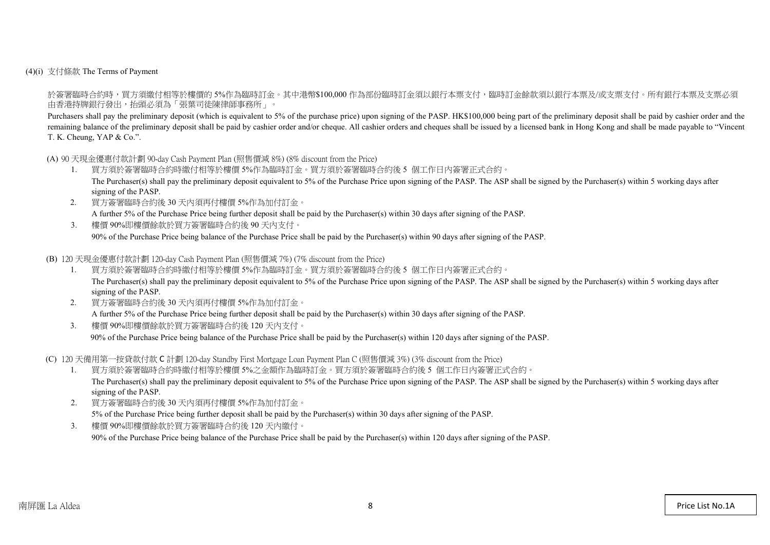(4)(i) 支付條款 The Terms of Payment

於簽署臨時合約時,買方須繳付相等於樓價的 5%作為臨時訂金。其中港幣\$100,000 作為部份臨時訂金須以銀行本票支付,臨時訂金餘款須以銀行本票及/或支票支付。所有銀行本票及支票必須 由香港持牌銀行發出,抬頭必須為「張葉司徒陳律師事務所」。

Purchasers shall pay the preliminary deposit (which is equivalent to 5% of the purchase price) upon signing of the PASP. HK\$100,000 being part of the preliminary deposit shall be paid by cashier order and the remaining balance of the preliminary deposit shall be paid by cashier order and/or cheque. All cashier orders and cheques shall be issued by a licensed bank in Hong Kong and shall be made payable to "Vincent" T. K. Cheung, YAP & Co.".

(A) 90 天現金優惠付款計劃 90-day Cash Payment Plan (照售價減 8%) (8% discount from the Price)

- 1. 買方須於簽署臨時合約時繳付相等於樓價 5%作為臨時訂金。買方須於簽署臨時合約後 5 個工作日內簽署正式合約。 The Purchaser(s) shall pay the preliminary deposit equivalent to 5% of the Purchase Price upon signing of the PASP. The ASP shall be signed by the Purchaser(s) within 5 working days after signing of the PASP.
- 2. 買方簽署臨時合約後 30 天內須再付樓價 5%作為加付訂金。 A further 5% of the Purchase Price being further deposit shall be paid by the Purchaser(s) within 30 days after signing of the PASP.
- 3. 樓價 90%即樓價餘款於買方簽署臨時合約後 90 天內支付。 90% of the Purchase Price being balance of the Purchase Price shall be paid by the Purchaser(s) within 90 days after signing of the PASP.

(B) 120 天現金優惠付款計劃 120-day Cash Payment Plan (照售價減 7%) (7% discount from the Price)

- 1. 買方須於簽署臨時合約時繳付相等於樓價 5%作為臨時訂金。買方須於簽署臨時合約後 5 個工作日內簽署正式合約。 The Purchaser(s) shall pay the preliminary deposit equivalent to 5% of the Purchase Price upon signing of the PASP. The ASP shall be signed by the Purchaser(s) within 5 working days after signing of the PASP.
- 2. 買方簽署臨時合約後 30 天內須再付樓價 5%作為加付訂金。 A further 5% of the Purchase Price being further deposit shall be paid by the Purchaser(s) within 30 days after signing of the PASP.
- 3. 樓價 90%即樓價餘款於買方簽署臨時合約後 120 天內支付。

90% of the Purchase Price being balance of the Purchase Price shall be paid by the Purchaser(s) within 120 days after signing of the PASP.

(C) 120 天備用第一按貸款付款 C 計劃 120-day Standby First Mortgage Loan Payment Plan C (照售價減 3%) (3% discount from the Price)

- 1. 買方須於簽署臨時合約時繳付相等於樓價 5%之金額作為臨時訂金。買方須於簽署臨時合約後 5 個工作日內簽署正式合約。 The Purchaser(s) shall pay the preliminary deposit equivalent to 5% of the Purchase Price upon signing of the PASP. The ASP shall be signed by the Purchaser(s) within 5 working days after signing of the PASP.
- 2. 買方簽署臨時合約後 30 天內須再付樓價 5%作為加付訂金。 5% of the Purchase Price being further deposit shall be paid by the Purchaser(s) within 30 days after signing of the PASP.
- 3. 樓價 90%即樓價餘款於買方簽署臨時合約後 120 天內繳付。

90% of the Purchase Price being balance of the Purchase Price shall be paid by the Purchaser(s) within 120 days after signing of the PASP.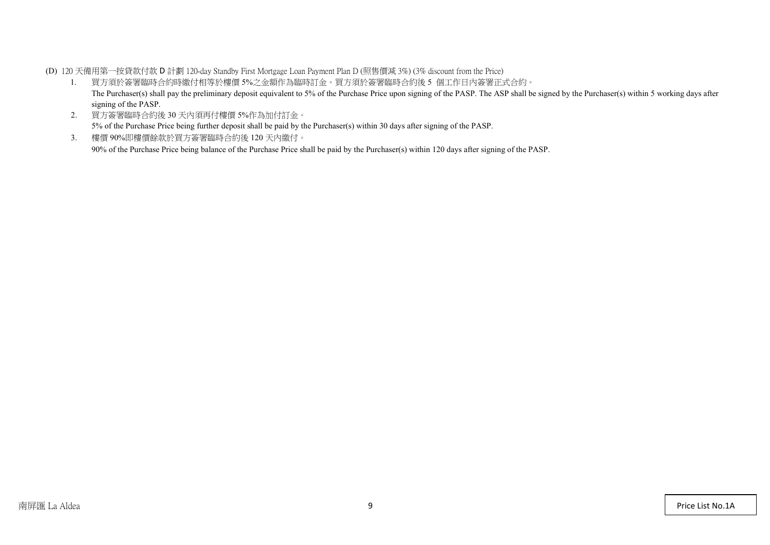(D) 120 天備用第一按貸款付款 D 計劃 120-day Standby First Mortgage Loan Payment Plan D (照售價減 3%) (3% discount from the Price)

- 1. 買方須於簽署臨時合約時繳付相等於樓價 5%之金額作為臨時訂金。買方須於簽署臨時合約後 5 個工作日內簽署正式合約。 The Purchaser(s) shall pay the preliminary deposit equivalent to 5% of the Purchase Price upon signing of the PASP. The ASP shall be signed by the Purchaser(s) within 5 working days after signing of the PASP.
- 2. 買方簽署臨時合約後 30 天內須再付樓價 5%作為加付訂金。 5% of the Purchase Price being further deposit shall be paid by the Purchaser(s) within 30 days after signing of the PASP.
- 3. 樓價 90%即樓價餘款於買方簽署臨時合約後 120 天內繳付。 90% of the Purchase Price being balance of the Purchase Price shall be paid by the Purchaser(s) within 120 days after signing of the PASP.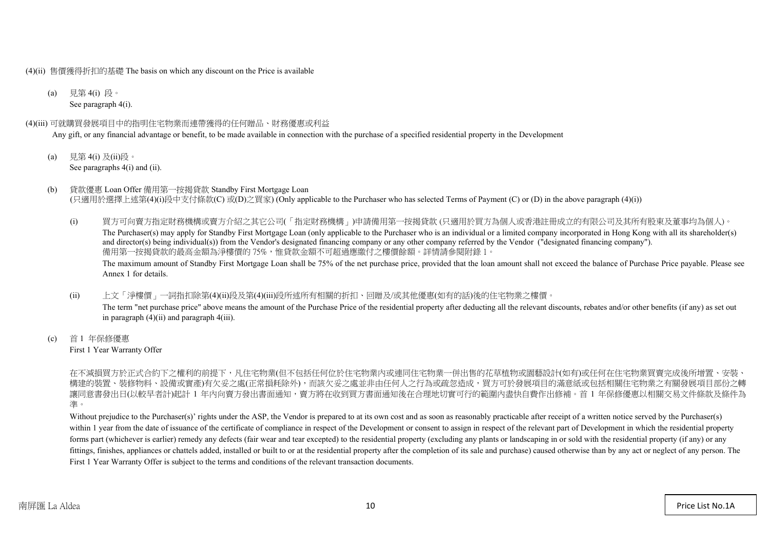(4)(ii) 售價獲得折扣的基礎 The basis on which any discount on the Price is available

(a) 見第 4(i) 段。 See paragraph 4(i).

#### (4)(iii) 可就購買發展項目中的指明住宅物業而連帶獲得的任何贈品、財務優惠或利益

Any gift, or any financial advantage or benefit, to be made available in connection with the purchase of a specified residential property in the Development

- (a) 見第 4(i) 及(ii)段。 See paragraphs  $4(i)$  and  $(ii)$ .
- (b) 貸款優惠 Loan Offer 備用第一按揭貸款 Standby First Mortgage Loan (只適用於選擇上述第(4)(i)段中支付條款(C) 或(D)之買家) (Only applicable to the Purchaser who has selected Terms of Payment (C) or (D) in the above paragraph (4)(i))
	- (i) 買方可向賣方指定財務機構或賣方介紹之其它公司(「指定財務機構」)申請備用第一按揭貸款 (只適用於買方為個人或香港註冊成立的有限公司及其所有股東及董事均為個人)。 The Purchaser(s) may apply for Standby First Mortgage Loan (only applicable to the Purchaser who is an individual or a limited company incorporated in Hong Kong with all its shareholder(s) and director(s) being individual(s)) from the Vendor's designated financing company or any other company referred by the Vendor ("designated financing company"). 備用第一按揭貸款的最高金額為淨樓價的 75%,惟貸款金額不可超過應繳付之樓價餘額。詳情請參閱附錄 1。 The maximum amount of Standby First Mortgage Loan shall be 75% of the net purchase price, provided that the loan amount shall not exceed the balance of Purchase Price payable. Please see Annex 1 for details.
	- (ii) 上文「淨樓價」一詞指扣除第(4)(ii)段及第(4)(iii)段所述所有相關的折扣、回贈及/或其他優惠(如有的話)後的住宅物業之樓價。 The term "net purchase price" above means the amount of the Purchase Price of the residential property after deducting all the relevant discounts, rebates and/or other benefits (if any) as set out in paragraph (4)(ii) and paragraph 4(iii).
- (c) 首 1 年保修優惠 First 1 Year Warranty Offer

在不減損買方於正式合約下之權利的前提下,凡住宅物業(但不包括任何位於住宅物業内或連同住宅物業一併出售的花草植物或園藝設計(如有)或任何在住宅物業買賣完成後所增置、 構建的裝置、裝修物料、設備或實產)有欠妥之處(正常損耗除外),而該欠妥之處並非由任何人之行為或疏忽造成,買方可於發展項目的滿意紙或包括相關住宅物業之有關發展項目 讓同意書發出日(以較早者計)起計 1 年內向賣方發出書面通知,賣方將在收到買方書面通知後在合理地切實可行的範圍內盡快自費作出修補。首 1 年保修優惠以相關交易文件條款及條件為 準。

Without prejudice to the Purchaser(s)' rights under the ASP, the Vendor is prepared to at its own cost and as soon as reasonably practicable after receipt of a written notice served by the Purchaser(s) within 1 year from the date of issuance of the certificate of compliance in respect of the Development or consent to assign in respect of the relevant part of Development in which the residential property forms part (whichever is earlier) remedy any defects (fair wear and tear excepted) to the residential property (excluding any plants or landscaping in or sold with the residential property (if any) or any fittings, finishes, appliances or chattels added, installed or built to or at the residential property after the completion of its sale and purchase) caused otherwise than by any act or neglect of any person. The First 1 Year Warranty Offer is subject to the terms and conditions of the relevant transaction documents.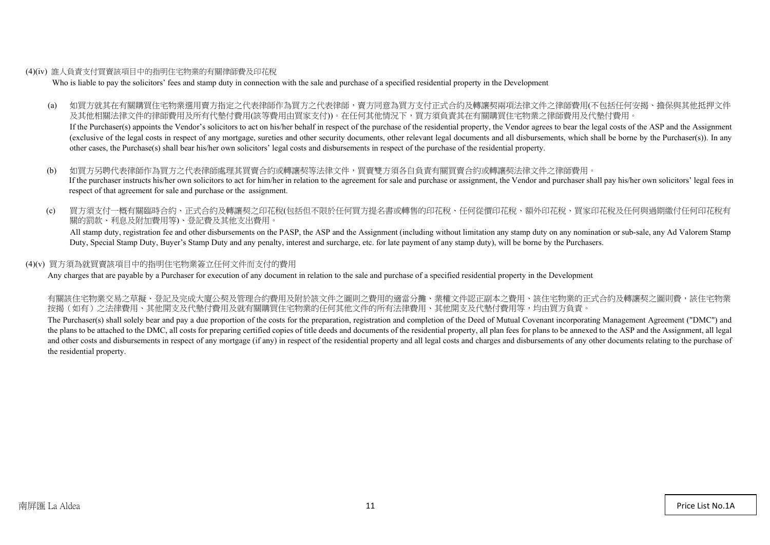#### (4)(iv) 誰人負責支付買賣該項目中的指明住宅物業的有關律師費及印花稅

Who is liable to pay the solicitors' fees and stamp duty in connection with the sale and purchase of a specified residential property in the Development

(a) 如買方就其在有關購買住宅物業選用賣方指定之代表律師作為買方之代表律師,賣方同意為買方支付正式合約及轉讓契兩項法律文件之律師費用(不包括任何安揭、擔保與其他抵押文件 及其他相關法律文件的律師費用及所有代墊付費用(該等費用由買家支付))。在任何其他情況下,買方須負責其在有關購買住宅物業之律師費用及代墊付費用。

If the Purchaser(s) appoints the Vendor's solicitors to act on his/her behalf in respect of the purchase of the residential property, the Vendor agrees to bear the legal costs of the ASP and the Assignment (exclusive of the legal costs in respect of any mortgage, sureties and other security documents, other relevant legal documents and all disbursements, which shall be borne by the Purchaser(s)). In any other cases, the Purchase(s) shall bear his/her own solicitors' legal costs and disbursements in respect of the purchase of the residential property.

- (b) 如買方另聘代表律師作為買方之代表律師處理其買賣合約或轉讓契等法律文件,買賣雙方須各自負責有關買賣合約或轉讓契法律文件之律師費用。 If the purchaser instructs his/her own solicitors to act for him/her in relation to the agreement for sale and purchase or assignment, the Vendor and purchaser shall pay his/her own solicitors' legal fees in respect of that agreement for sale and purchase or the assignment.
- (c) 買方須支付一概有關臨時合約、正式合約及轉讓契之印花稅(包括但不限於任何買方提名書或轉售的印花稅、任何從價印花稅、額外印花稅、買家印花稅及任何與過期繳付任何印花稅有 關的罰款、利息及附加費用等)、登記費及其他支出費用。

All stamp duty, registration fee and other disbursements on the PASP, the ASP and the Assignment (including without limitation any stamp duty on any nomination or sub-sale, any Ad Valorem Stamp Duty, Special Stamp Duty, Buyer's Stamp Duty and any penalty, interest and surcharge, etc. for late payment of any stamp duty), will be borne by the Purchasers.

#### (4)(v) 買方須為就買賣該項目中的指明住宅物業簽立任何文件而支付的費用

Any charges that are payable by a Purchaser for execution of any document in relation to the sale and purchase of a specified residential property in the Development

有關該住宅物業交易之草擬、登記及完成大廈公契及管理合約費用及附於該文件之圖則之費用的適當分攤、業權文件認正副本之費用、該住宅物業的正式合約及轉讓契之圖則費,該住宅物業 按揭(如有)之法律費用、其他開支及代墊付費用及就有關購買住宅物業的任何其他文件的所有法律費用、其他開支及代墊付費用等,均由買方負責。

The Purchaser(s) shall solely bear and pay a due proportion of the costs for the preparation, registration and completion of the Deed of Mutual Covenant incorporating Management Agreement ("DMC") and the plans to be attached to the DMC, all costs for preparing certified copies of title deeds and documents of the residential property, all plan fees for plans to be annexed to the ASP and the Assignment, all legal and other costs and disbursements in respect of any mortgage (if any) in respect of the residential property and all legal costs and charges and disbursements of any other documents relating to the purchase of the residential property.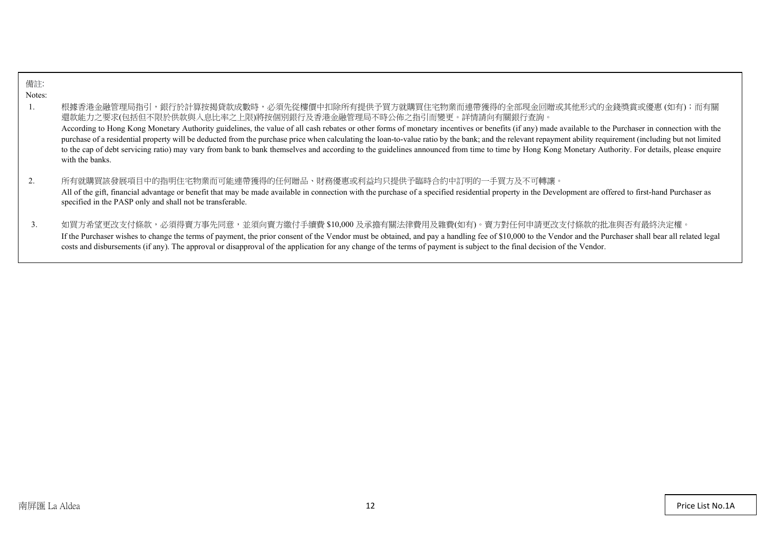| 備註:    |                                                                                                                                                                                                                                                                                                                                                                                                                                                                                                                                                                                                                                                                                                                                                                                                     |
|--------|-----------------------------------------------------------------------------------------------------------------------------------------------------------------------------------------------------------------------------------------------------------------------------------------------------------------------------------------------------------------------------------------------------------------------------------------------------------------------------------------------------------------------------------------------------------------------------------------------------------------------------------------------------------------------------------------------------------------------------------------------------------------------------------------------------|
| Notes: |                                                                                                                                                                                                                                                                                                                                                                                                                                                                                                                                                                                                                                                                                                                                                                                                     |
| 1.     | 根據香港金融管理局指引,銀行於計算按揭貸款成數時,必須先從樓價中扣除所有提供予買方就購買住宅物業而連帶獲得的全部現金回贈或其他形式的金錢獎賞或優惠(如有);而有關<br>還款能力之要求(包括但不限於供款與入息比率之上限)將按個別銀行及香港金融管理局不時公佈之指引而變更。詳情請向有關銀行查詢。<br>According to Hong Kong Monetary Authority guidelines, the value of all cash rebates or other forms of monetary incentives or benefits (if any) made available to the Purchaser in connection with the<br>purchase of a residential property will be deducted from the purchase price when calculating the loan-to-value ratio by the bank; and the relevant repayment ability requirement (including but not limited<br>to the cap of debt servicing ratio) may vary from bank to bank themselves and according to the guidelines announced from time to time by Hong Kong Monetary Authority. For details, please enquire<br>with the banks. |
|        | 所有就購買該發展項目中的指明住宅物業而可能連帶獲得的任何贈品、財務優惠或利益均只提供予臨時合約中訂明的一手買方及不可轉讓。<br>All of the gift, financial advantage or benefit that may be made available in connection with the purchase of a specified residential property in the Development are offered to first-hand Purchaser as<br>specified in the PASP only and shall not be transferable.                                                                                                                                                                                                                                                                                                                                                                                                                                                              |
| 3.     | 如買方希望更改支付條款,必須得賣方事先同意,並須向賣方繳付手續費 \$10,000 及承擔有關法律費用及雜費(如有)。賣方對任何申請更改支付條款的批准與否有最終決定權。<br>If the Purchaser wishes to change the terms of payment, the prior consent of the Vendor must be obtained, and pay a handling fee of \$10,000 to the Vendor and the Purchaser shall bear all related legal<br>costs and disbursements (if any). The approval or disapproval of the application for any change of the terms of payment is subject to the final decision of the Vendor.                                                                                                                                                                                                                                                                                                                        |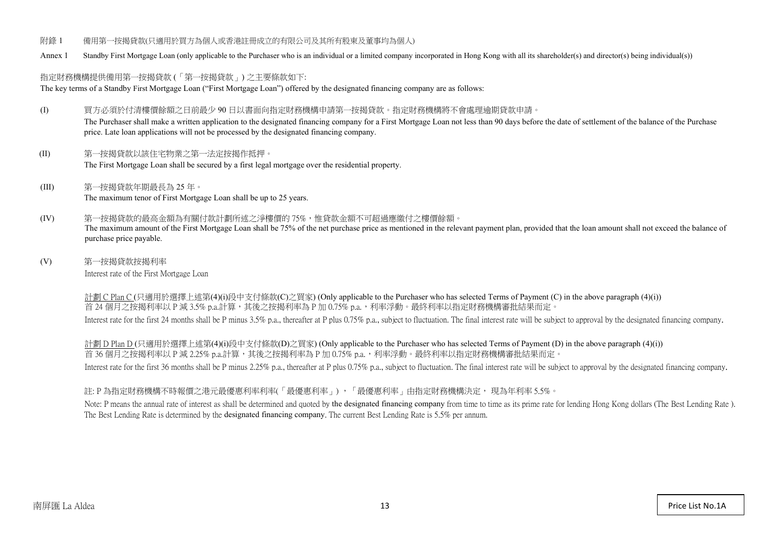- 附錄 1 備用第一按揭貸款(只適用於買方為個人或香港註冊成立的有限公司及其所有股東及董事均為個人)
- Annex 1 Standby First Mortgage Loan (only applicable to the Purchaser who is an individual or a limited company incorporated in Hong Kong with all its shareholder(s) and director(s) being individual(s))

## 指定財務機構提供備用第一按揭貸款 (「第一按揭貸款」) 之主要條款如下:

The key terms of a Standby First Mortgage Loan ("First Mortgage Loan") offered by the designated financing company are as follows:

- (I) 買方必須於付清樓價餘額之日前最少 90 日以書面向指定財務機構申請第一按揭貸款。指定財務機構將不會處理逾期貸款申請。 The Purchaser shall make a written application to the designated financing company for a First Mortgage Loan not less than 90 days before the date of settlement of the balance of the Purchase price. Late loan applications will not be processed by the designated financing company.
- (II) 第一按揭貸款以該住宅物業之第一法定按揭作抵押。 The First Mortgage Loan shall be secured by a first legal mortgage over the residential property.
- (III) 第一按揭貸款年期最長為 25 年。 The maximum tenor of First Mortgage Loan shall be up to 25 years.
- (IV) 第一按揭貸款的最高金額為有關付款計劃所述之淨樓價的 75%,惟貸款金額不可超過應繳付之樓價餘額。 The maximum amount of the First Mortgage Loan shall be 75% of the net purchase price as mentioned in the relevant payment plan, provided that the loan amount shall not exceed the balance of purchase price payable.
- (V) 第一按揭貸款按揭利率 Interest rate of the First Mortgage Loan

計劃 C Plan C (只適用於選擇上述第(4)(i)段中支付條款(C)之買家) (Only applicable to the Purchaser who has selected Terms of Payment (C) in the above paragraph (4)(i)) 首 24個月之按揭利率以 P 減 3.5% p.a.計算,其後之按揭利率為 P 加 0.75% p.a.,利率浮動。最終利率以指定財務機構審批結果而定。 Interest rate for the first 24 months shall be P minus 3.5% p.a., thereafter at P plus 0.75% p.a., subject to fluctuation. The final interest rate will be subject to approval by the designated financing company.

計劃 D Plan D (只適用於選擇上述第(4)(i)段中支付條款(D)之買家) (Only applicable to the Purchaser who has selected Terms of Payment (D) in the above paragraph (4)(i)) 首 36個月之按揭利率以 P 減 2.25% p.a.計算,其後之按揭利率為 P 加 0.75% p.a., 利率浮動。最終利率以指定財務機構審批結果而定。 Interest rate for the first 36 months shall be P minus 2.25% p.a., thereafter at P plus 0.75% p.a., subject to fluctuation. The final interest rate will be subject to approval by the designated financing company.

## 註: P 為指定財務機構不時報價之港元最優惠利率利率(「最優惠利率」) ,「最優惠利率」由指定財務機構決定, 現為年利率 5.5%。

Note: P means the annual rate of interest as shall be determined and quoted by the designated financing company from time to time as its prime rate for lending Hong Kong dollars (The Best Lending Rate). The Best Lending Rate is determined by the designated financing company. The current Best Lending Rate is 5.5% per annum.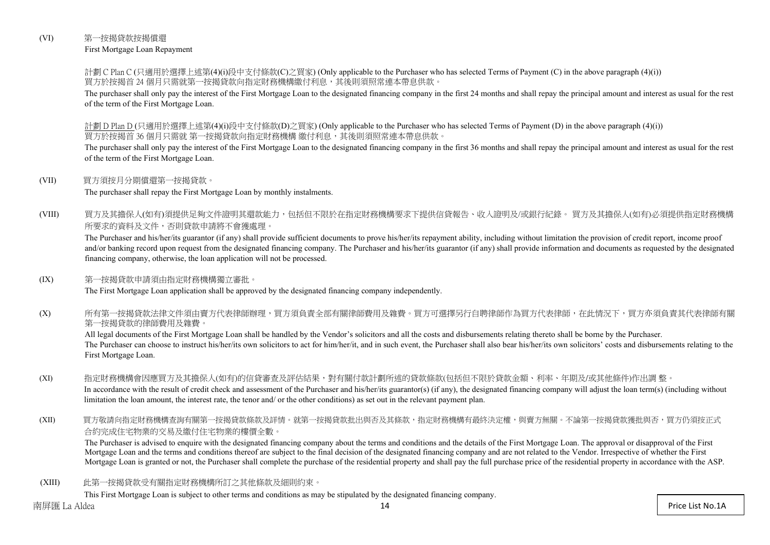## (VI) 第一按揭貸款按揭償還

First Mortgage Loan Repayment

計劃 C Plan C (只適用於選擇上述第(4)(i)段中支付條款(C)之買家) (Only applicable to the Purchaser who has selected Terms of Payment (C) in the above paragraph (4)(i)) 買方於按揭首 24 個月只需就第一按揭貸款向指定財務機構繳付利息,其後則須照常連本帶息供款。

The purchaser shall only pay the interest of the First Mortgage Loan to the designated financing company in the first 24 months and shall repay the principal amount and interest as usual for the rest of the term of the First Mortgage Loan.

計劃 D Plan D (只適用於選擇上述第(4)(i)段中支付條款(D)之買家) (Only applicable to the Purchaser who has selected Terms of Payment (D) in the above paragraph (4)(i)) 買方於按揭首 36 個月只需就 第一按揭貸款向指定財務機構 繳付利息,其後則須照常連本帶息供款。

The purchaser shall only pay the interest of the First Mortgage Loan to the designated financing company in the first 36 months and shall repay the principal amount and interest as usual for the rest of the term of the First Mortgage Loan.

#### (VII) 買方須按月分期償還第一按揭貸款。

The purchaser shall repay the First Mortgage Loan by monthly instalments.

(VIII) 買方及其擔保人(如有)須提供足夠文件證明其還款能力,包括但不限於在指定財務機構要求下提供信貸報告、收入證明及/或銀行紀錄。 買方及其擔保人(如有)必須提供指定財務機構 所要求的資料及文件,否則貸款申請將不會獲處理。

The Purchaser and his/her/its guarantor (if any) shall provide sufficient documents to prove his/her/its repayment ability, including without limitation the provision of credit report, income proof and/or banking record upon request from the designated financing company. The Purchaser and his/her/its guarantor (if any) shall provide information and documents as requested by the designated financing company, otherwise, the loan application will not be processed.

#### (IX) 第一按揭貸款申請須由指定財務機構獨立審批。

The First Mortgage Loan application shall be approved by the designated financing company independently.

(X) 所有第一按揭貸款法律文件須由賣方代表律師辦理,買方須負責全部有關律師費用及雜費。買方可選擇另行自聘律師作為買方代表律師,在此情況下,買方亦須負責其代表律師有關 第一按揭貸款的律師費用及雜費。

All legal documents of the First Mortgage Loan shall be handled by the Vendor's solicitors and all the costs and disbursements relating thereto shall be borne by the Purchaser. The Purchaser can choose to instruct his/her/its own solicitors to act for him/her/it, and in such event, the Purchaser shall also bear his/her/its own solicitors' costs and disbursements relating to the First Mortgage Loan.

#### (XI) 指定財務機構會因應買方及其擔保人(如有)的信貸審查及評估結果,對有關付款計劃所述的貸款條款(包括但不限於貸款金額、利率、年期及/或其他條件)作出調 整。 In accordance with the result of credit check and assessment of the Purchaser and his/her/its guarantor(s) (if any), the designated financing company will adjust the loan term(s) (including without limitation the loan amount, the interest rate, the tenor and/ or the other conditions) as set out in the relevant payment plan.

(XII) 買方敬請向指定財務機構查詢有關第一按揭貸款條款及詳情。就第一按揭貸款批出與否及其條款,指定財務機構有最終決定權,與賣方無關。不論第一按揭貸款獲批與否,買方仍須按正式 合約完成住宅物業的交易及繳付住宅物業的樓價全數。

The Purchaser is advised to enquire with the designated financing company about the terms and conditions and the details of the First Mortgage Loan. The approval or disapproval of the First Mortgage Loan and the terms and conditions thereof are subject to the final decision of the designated financing company and are not related to the Vendor. Irrespective of whether the First Mortgage Loan is granted or not, the Purchaser shall complete the purchase of the residential property and shall pay the full purchase price of the residential property in accordance with the ASP.

(XIII) 此第一按揭貸款受有關指定財務機構所訂之其他條款及細則約束。

This First Mortgage Loan is subject to other terms and conditions as may be stipulated by the designated financing company.